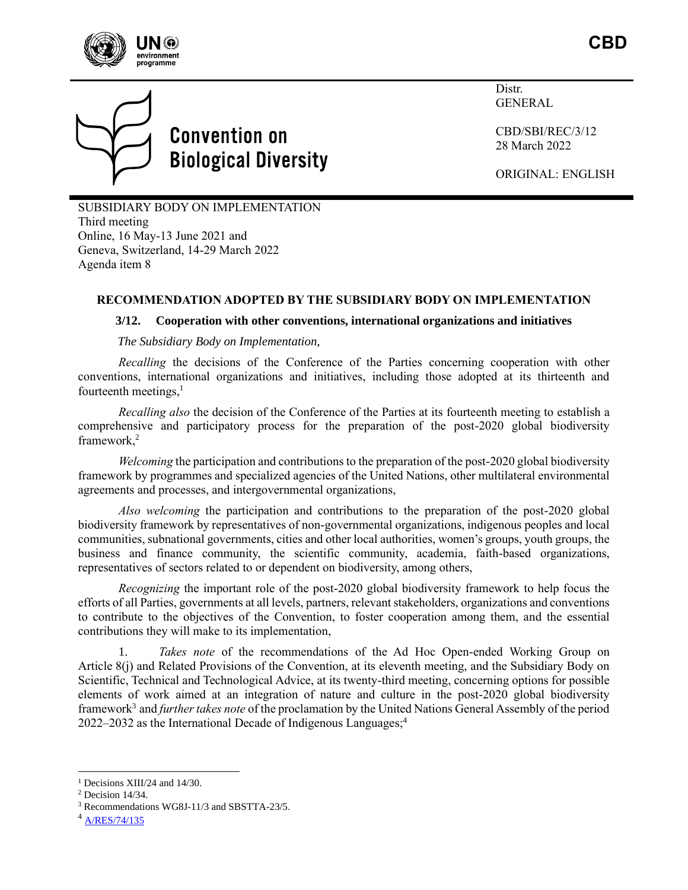



# **Convention on Biological Diversity**

Distr. GENERAL

CBD/SBI/REC/3/12 28 March 2022

ORIGINAL: ENGLISH

SUBSIDIARY BODY ON IMPLEMENTATION Third meeting Online, 16 May-13 June 2021 and Geneva, Switzerland, 14-29 March 2022 Agenda item 8

## **RECOMMENDATION ADOPTED BY THE SUBSIDIARY BODY ON IMPLEMENTATION**

### **3/12. Cooperation with other conventions, international organizations and initiatives**

*The Subsidiary Body on Implementation,*

*Recalling* the decisions of the Conference of the Parties concerning cooperation with other conventions, international organizations and initiatives, including those adopted at its thirteenth and fourteenth meetings, $<sup>1</sup>$ </sup>

*Recalling also* the decision of the Conference of the Parties at its fourteenth meeting to establish a comprehensive and participatory process for the preparation of the post-2020 global biodiversity framework,<sup>2</sup>

*Welcoming* the participation and contributions to the preparation of the post-2020 global biodiversity framework by programmes and specialized agencies of the United Nations, other multilateral environmental agreements and processes, and intergovernmental organizations,

*Also welcoming* the participation and contributions to the preparation of the post-2020 global biodiversity framework by representatives of non-governmental organizations, indigenous peoples and local communities, subnational governments, cities and other local authorities, women's groups, youth groups, the business and finance community, the scientific community, academia, faith-based organizations, representatives of sectors related to or dependent on biodiversity, among others,

*Recognizing* the important role of the post-2020 global biodiversity framework to help focus the efforts of all Parties, governments at all levels, partners, relevant stakeholders, organizations and conventions to contribute to the objectives of the Convention, to foster cooperation among them, and the essential contributions they will make to its implementation,

1. *Takes note* of the recommendations of the Ad Hoc Open-ended Working Group on Article 8(j) and Related Provisions of the Convention, at its eleventh meeting, and the Subsidiary Body on Scientific, Technical and Technological Advice, at its twenty-third meeting, concerning options for possible elements of work aimed at an integration of nature and culture in the post-2020 global biodiversity framework<sup>3</sup> and *further takes note* of the proclamation by the United Nations General Assembly of the period 2022–2032 as the International Decade of Indigenous Languages; 4

<sup>&</sup>lt;sup>1</sup> Decisions XIII/24 and 14/30.

<sup>2</sup> Decision 14/34.

<sup>3</sup> Recommendations WG8J-11/3 and SBSTTA-23/5.

<sup>4</sup> [A/RES/74/135](https://documents-dds-ny.un.org/doc/UNDOC/GEN/N19/426/26/PDF/N1942626.pdf?OpenElement)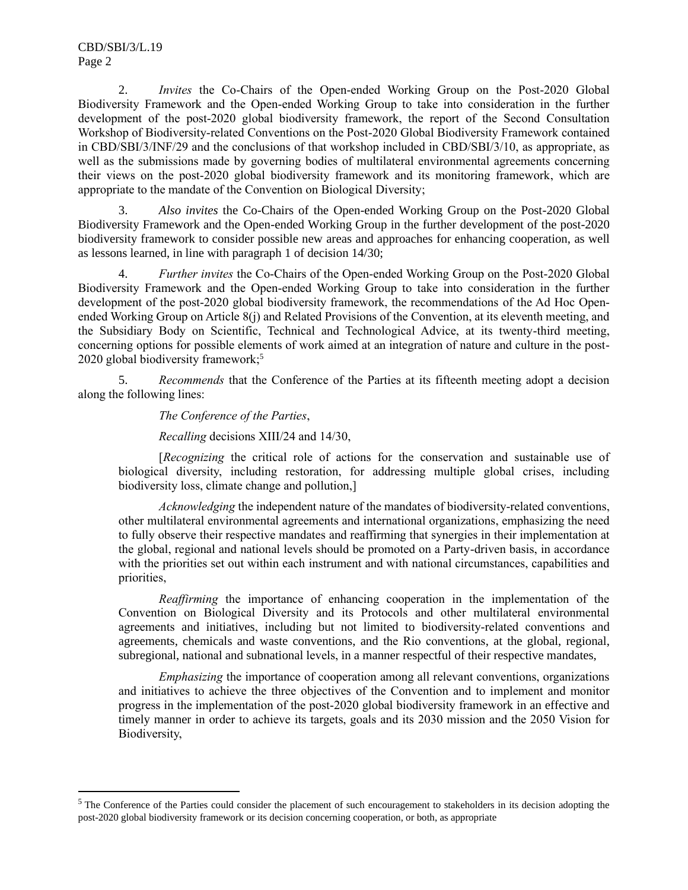2. *Invites* the Co-Chairs of the Open-ended Working Group on the Post-2020 Global Biodiversity Framework and the Open-ended Working Group to take into consideration in the further development of the post-2020 global biodiversity framework, the report of the Second Consultation Workshop of Biodiversity-related Conventions on the Post-2020 Global Biodiversity Framework contained in CBD/SBI/3/INF/29 and the conclusions of that workshop included in CBD/SBI/3/10, as appropriate, as well as the submissions made by governing bodies of multilateral environmental agreements concerning their views on the post-2020 global biodiversity framework and its monitoring framework, which are appropriate to the mandate of the Convention on Biological Diversity;

3. *Also invites* the Co-Chairs of the Open-ended Working Group on the Post-2020 Global Biodiversity Framework and the Open-ended Working Group in the further development of the post-2020 biodiversity framework to consider possible new areas and approaches for enhancing cooperation, as well as lessons learned, in line with paragraph 1 of decision 14/30;

4. *Further invites* the Co-Chairs of the Open-ended Working Group on the Post-2020 Global Biodiversity Framework and the Open-ended Working Group to take into consideration in the further development of the post-2020 global biodiversity framework, the recommendations of the Ad Hoc Openended Working Group on Article 8(j) and Related Provisions of the Convention, at its eleventh meeting, and the Subsidiary Body on Scientific, Technical and Technological Advice, at its twenty-third meeting, concerning options for possible elements of work aimed at an integration of nature and culture in the post-2020 global biodiversity framework; $5$ 

5. *Recommends* that the Conference of the Parties at its fifteenth meeting adopt a decision along the following lines:

### *The Conference of the Parties*,

### *Recalling* decisions XIII/24 and 14/30,

[*Recognizing* the critical role of actions for the conservation and sustainable use of biological diversity, including restoration, for addressing multiple global crises, including biodiversity loss, climate change and pollution,]

*Acknowledging* the independent nature of the mandates of biodiversity-related conventions, other multilateral environmental agreements and international organizations, emphasizing the need to fully observe their respective mandates and reaffirming that synergies in their implementation at the global, regional and national levels should be promoted on a Party-driven basis, in accordance with the priorities set out within each instrument and with national circumstances, capabilities and priorities,

*Reaffirming* the importance of enhancing cooperation in the implementation of the Convention on Biological Diversity and its Protocols and other multilateral environmental agreements and initiatives, including but not limited to biodiversity-related conventions and agreements, chemicals and waste conventions, and the Rio conventions, at the global, regional, subregional, national and subnational levels, in a manner respectful of their respective mandates,

*Emphasizing* the importance of cooperation among all relevant conventions, organizations and initiatives to achieve the three objectives of the Convention and to implement and monitor progress in the implementation of the post-2020 global biodiversity framework in an effective and timely manner in order to achieve its targets, goals and its 2030 mission and the 2050 Vision for Biodiversity,

<sup>&</sup>lt;sup>5</sup> The Conference of the Parties could consider the placement of such encouragement to stakeholders in its decision adopting the post-2020 global biodiversity framework or its decision concerning cooperation, or both, as appropriate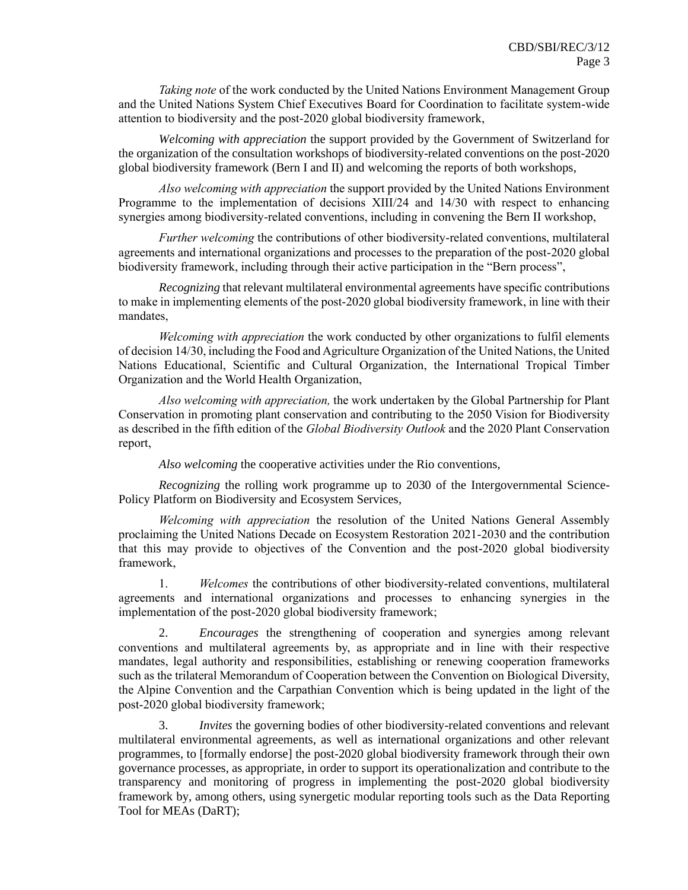*Taking note* of the work conducted by the United Nations Environment Management Group and the United Nations System Chief Executives Board for Coordination to facilitate system-wide attention to biodiversity and the post-2020 global biodiversity framework,

*Welcoming with appreciation* the support provided by the Government of Switzerland for the organization of the consultation workshops of biodiversity-related conventions on the post-2020 global biodiversity framework (Bern I and II) and welcoming the reports of both workshops,

*Also welcoming with appreciation* the support provided by the United Nations Environment Programme to the implementation of decisions XIII/24 and 14/30 with respect to enhancing synergies among biodiversity-related conventions, including in convening the Bern II workshop,

*Further welcoming* the contributions of other biodiversity-related conventions, multilateral agreements and international organizations and processes to the preparation of the post-2020 global biodiversity framework, including through their active participation in the "Bern process",

*Recognizing* that relevant multilateral environmental agreements have specific contributions to make in implementing elements of the post-2020 global biodiversity framework, in line with their mandates,

*Welcoming with appreciation* the work conducted by other organizations to fulfil elements of decision 14/30, including the Food and Agriculture Organization of the United Nations, the United Nations Educational, Scientific and Cultural Organization, the International Tropical Timber Organization and the World Health Organization,

*Also welcoming with appreciation,* the work undertaken by the Global Partnership for Plant Conservation in promoting plant conservation and contributing to the 2050 Vision for Biodiversity as described in the fifth edition of the *Global Biodiversity Outlook* and the 2020 Plant Conservation report,

*Also welcoming* the cooperative activities under the Rio conventions,

*Recognizing* the rolling work programme up to 2030 of the Intergovernmental Science-Policy Platform on Biodiversity and Ecosystem Services,

*Welcoming with appreciation* the resolution of the United Nations General Assembly proclaiming the United Nations Decade on Ecosystem Restoration 2021-2030 and the contribution that this may provide to objectives of the Convention and the post-2020 global biodiversity framework,

1. *Welcomes* the contributions of other biodiversity-related conventions, multilateral agreements and international organizations and processes to enhancing synergies in the implementation of the post-2020 global biodiversity framework;

2. *Encourages* the strengthening of cooperation and synergies among relevant conventions and multilateral agreements by, as appropriate and in line with their respective mandates, legal authority and responsibilities, establishing or renewing cooperation frameworks such as the trilateral Memorandum of Cooperation between the Convention on Biological Diversity, the Alpine Convention and the Carpathian Convention which is being updated in the light of the post-2020 global biodiversity framework;

3. *Invites* the governing bodies of other biodiversity-related conventions and relevant multilateral environmental agreements, as well as international organizations and other relevant programmes, to [formally endorse] the post-2020 global biodiversity framework through their own governance processes, as appropriate, in order to support its operationalization and contribute to the transparency and monitoring of progress in implementing the post-2020 global biodiversity framework by, among others, using synergetic modular reporting tools such as the Data Reporting Tool for MEAs (DaRT);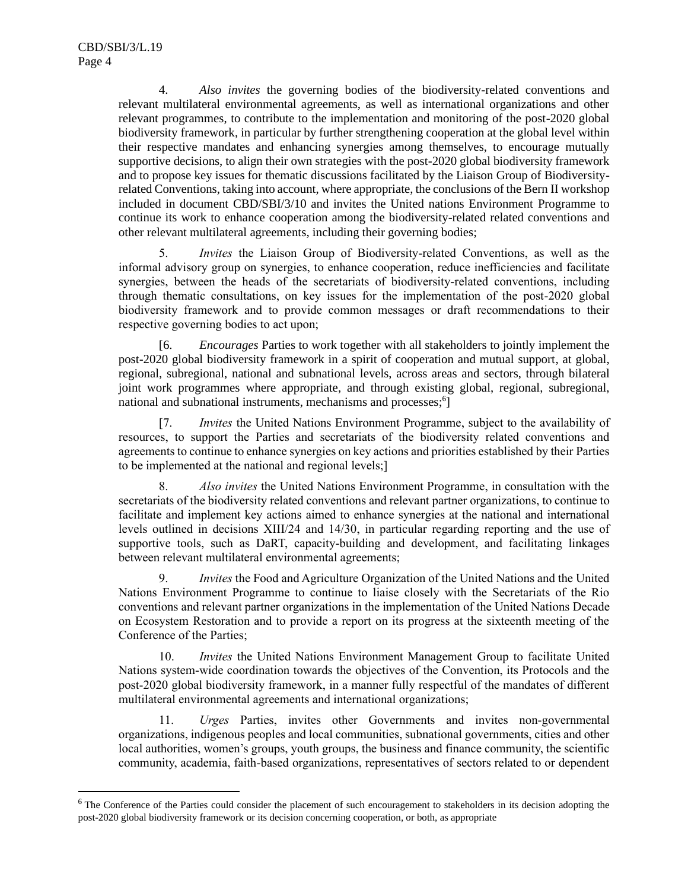4. *Also invites* the governing bodies of the biodiversity-related conventions and relevant multilateral environmental agreements, as well as international organizations and other relevant programmes, to contribute to the implementation and monitoring of the post-2020 global biodiversity framework, in particular by further strengthening cooperation at the global level within their respective mandates and enhancing synergies among themselves, to encourage mutually supportive decisions, to align their own strategies with the post-2020 global biodiversity framework and to propose key issues for thematic discussions facilitated by the Liaison Group of Biodiversityrelated Conventions, taking into account, where appropriate, the conclusions of the Bern II workshop included in document CBD/SBI/3/10 and invites the United nations Environment Programme to continue its work to enhance cooperation among the biodiversity-related related conventions and other relevant multilateral agreements, including their governing bodies;

5. *Invites* the Liaison Group of Biodiversity-related Conventions, as well as the informal advisory group on synergies, to enhance cooperation, reduce inefficiencies and facilitate synergies, between the heads of the secretariats of biodiversity-related conventions, including through thematic consultations, on key issues for the implementation of the post-2020 global biodiversity framework and to provide common messages or draft recommendations to their respective governing bodies to act upon;

[6. *Encourages* Parties to work together with all stakeholders to jointly implement the post-2020 global biodiversity framework in a spirit of cooperation and mutual support, at global, regional, subregional, national and subnational levels, across areas and sectors, through bilateral joint work programmes where appropriate, and through existing global, regional, subregional, national and subnational instruments, mechanisms and processes;<sup>6</sup>]

[7. *Invites* the United Nations Environment Programme, subject to the availability of resources, to support the Parties and secretariats of the biodiversity related conventions and agreements to continue to enhance synergies on key actions and priorities established by their Parties to be implemented at the national and regional levels;]

8. *Also invites* the United Nations Environment Programme, in consultation with the secretariats of the biodiversity related conventions and relevant partner organizations, to continue to facilitate and implement key actions aimed to enhance synergies at the national and international levels outlined in decisions XIII/24 and 14/30, in particular regarding reporting and the use of supportive tools, such as DaRT, capacity-building and development, and facilitating linkages between relevant multilateral environmental agreements;

9. *Invites* the Food and Agriculture Organization of the United Nations and the United Nations Environment Programme to continue to liaise closely with the Secretariats of the Rio conventions and relevant partner organizations in the implementation of the United Nations Decade on Ecosystem Restoration and to provide a report on its progress at the sixteenth meeting of the Conference of the Parties;

10. *Invites* the United Nations Environment Management Group to facilitate United Nations system-wide coordination towards the objectives of the Convention, its Protocols and the post-2020 global biodiversity framework, in a manner fully respectful of the mandates of different multilateral environmental agreements and international organizations;

11. *Urges* Parties, invites other Governments and invites non-governmental organizations, indigenous peoples and local communities, subnational governments, cities and other local authorities, women's groups, youth groups, the business and finance community, the scientific community, academia, faith-based organizations, representatives of sectors related to or dependent

 $6$  The Conference of the Parties could consider the placement of such encouragement to stakeholders in its decision adopting the post-2020 global biodiversity framework or its decision concerning cooperation, or both, as appropriate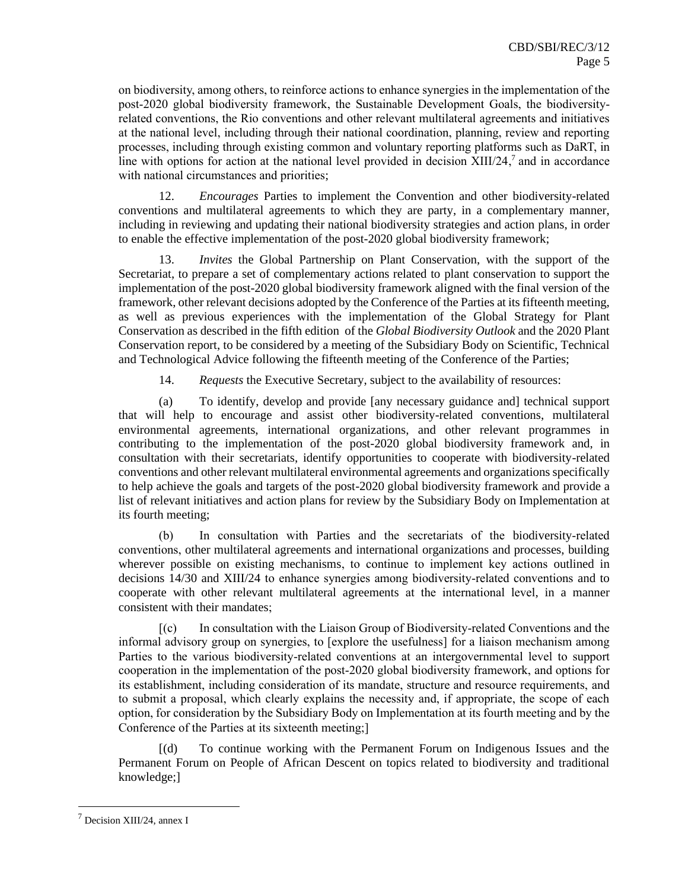on biodiversity, among others, to reinforce actions to enhance synergies in the implementation of the post-2020 global biodiversity framework, the Sustainable Development Goals, the biodiversityrelated conventions, the Rio conventions and other relevant multilateral agreements and initiatives at the national level, including through their national coordination, planning, review and reporting processes, including through existing common and voluntary reporting platforms such as DaRT, in line with options for action at the national level provided in decision XIII/24,<sup>7</sup> and in accordance with national circumstances and priorities:

12. *Encourages* Parties to implement the Convention and other biodiversity-related conventions and multilateral agreements to which they are party, in a complementary manner, including in reviewing and updating their national biodiversity strategies and action plans, in order to enable the effective implementation of the post-2020 global biodiversity framework;

13. *Invites* the Global Partnership on Plant Conservation, with the support of the Secretariat, to prepare a set of complementary actions related to plant conservation to support the implementation of the post-2020 global biodiversity framework aligned with the final version of the framework, other relevant decisions adopted by the Conference of the Parties at its fifteenth meeting, as well as previous experiences with the implementation of the Global Strategy for Plant Conservation as described in the fifth edition of the *Global Biodiversity Outlook* and the 2020 Plant Conservation report, to be considered by a meeting of the Subsidiary Body on Scientific, Technical and Technological Advice following the fifteenth meeting of the Conference of the Parties;

14. *Requests* the Executive Secretary, subject to the availability of resources:

(a) To identify, develop and provide [any necessary guidance and] technical support that will help to encourage and assist other biodiversity-related conventions, multilateral environmental agreements, international organizations, and other relevant programmes in contributing to the implementation of the post-2020 global biodiversity framework and, in consultation with their secretariats, identify opportunities to cooperate with biodiversity-related conventions and other relevant multilateral environmental agreements and organizations specifically to help achieve the goals and targets of the post-2020 global biodiversity framework and provide a list of relevant initiatives and action plans for review by the Subsidiary Body on Implementation at its fourth meeting;

(b) In consultation with Parties and the secretariats of the biodiversity-related conventions, other multilateral agreements and international organizations and processes, building wherever possible on existing mechanisms, to continue to implement key actions outlined in decisions 14/30 and XIII/24 to enhance synergies among biodiversity-related conventions and to cooperate with other relevant multilateral agreements at the international level, in a manner consistent with their mandates;

[(c) In consultation with the Liaison Group of Biodiversity-related Conventions and the informal advisory group on synergies, to [explore the usefulness] for a liaison mechanism among Parties to the various biodiversity-related conventions at an intergovernmental level to support cooperation in the implementation of the post-2020 global biodiversity framework, and options for its establishment, including consideration of its mandate, structure and resource requirements, and to submit a proposal, which clearly explains the necessity and, if appropriate, the scope of each option, for consideration by the Subsidiary Body on Implementation at its fourth meeting and by the Conference of the Parties at its sixteenth meeting;]

[(d) To continue working with the Permanent Forum on Indigenous Issues and the Permanent Forum on People of African Descent on topics related to biodiversity and traditional knowledge;]

<sup>7</sup> Decision XIII/24, annex I